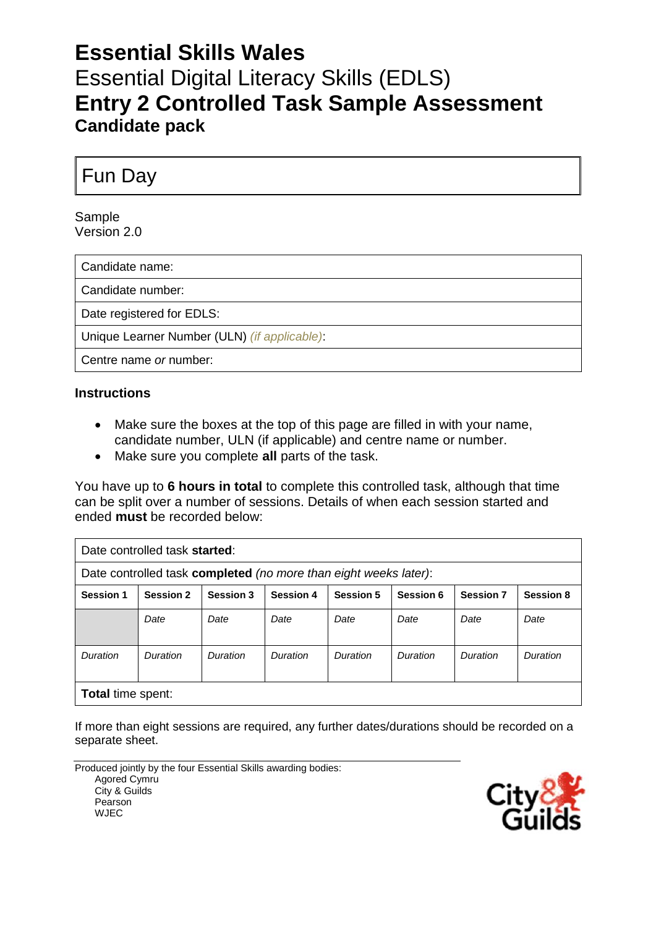# **Essential Skills Wales** Essential Digital Literacy Skills (EDLS) **Entry 2 Controlled Task Sample Assessment Candidate pack**

Fun Day

Sample Version 2.0

Candidate name:

Candidate number:

Date registered for EDLS:

Unique Learner Number (ULN) *(if applicable)*:

Centre name *or* number:

#### **Instructions**

- Make sure the boxes at the top of this page are filled in with your name, candidate number, ULN (if applicable) and centre name or number.
- Make sure you complete **all** parts of the task.

You have up to **6 hours in total** to complete this controlled task, although that time can be split over a number of sessions. Details of when each session started and ended **must** be recorded below:

| Date controlled task started:                                    |                  |                  |                  |                  |           |                  |                  |  |
|------------------------------------------------------------------|------------------|------------------|------------------|------------------|-----------|------------------|------------------|--|
| Date controlled task completed (no more than eight weeks later): |                  |                  |                  |                  |           |                  |                  |  |
| <b>Session 1</b>                                                 | <b>Session 2</b> | <b>Session 3</b> | <b>Session 4</b> | <b>Session 5</b> | Session 6 | <b>Session 7</b> | <b>Session 8</b> |  |
|                                                                  | Date             | Date             | Date             | Date             | Date      | Date             | Date             |  |
| Duration                                                         | Duration         | Duration         | Duration         | Duration         | Duration  | Duration         | Duration         |  |
| <b>Total time spent:</b>                                         |                  |                  |                  |                  |           |                  |                  |  |

If more than eight sessions are required, any further dates/durations should be recorded on a separate sheet.

Produced jointly by the four Essential Skills awarding bodies: Agored Cymru City & Guilds Pearson WJEC

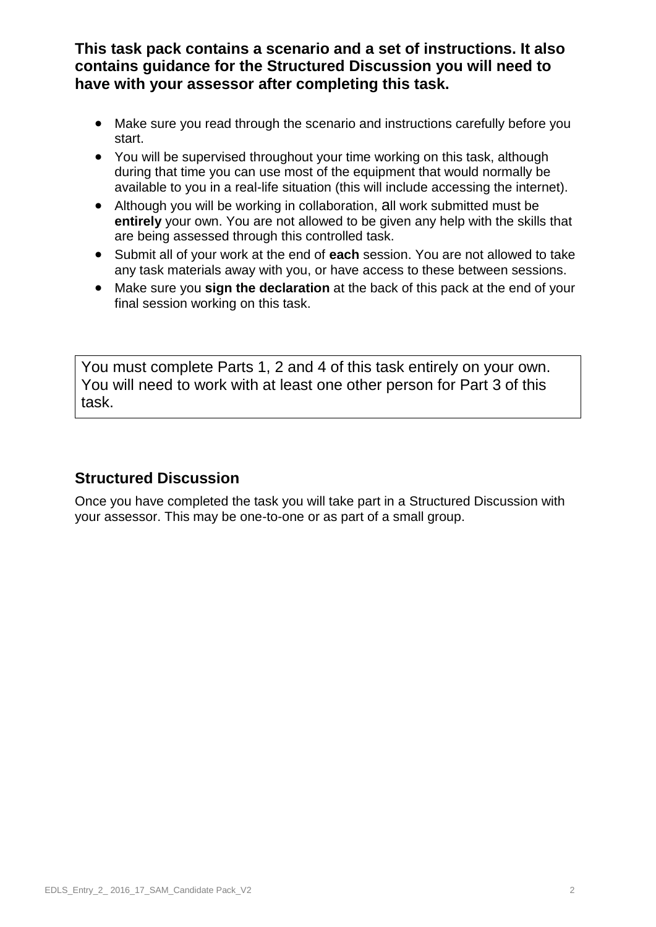**This task pack contains a scenario and a set of instructions. It also contains guidance for the Structured Discussion you will need to have with your assessor after completing this task.**

- Make sure you read through the scenario and instructions carefully before you start.
- You will be supervised throughout your time working on this task, although during that time you can use most of the equipment that would normally be available to you in a real-life situation (this will include accessing the internet).
- Although you will be working in collaboration, all work submitted must be **entirely** your own. You are not allowed to be given any help with the skills that are being assessed through this controlled task.
- Submit all of your work at the end of **each** session. You are not allowed to take any task materials away with you, or have access to these between sessions.
- Make sure you **sign the declaration** at the back of this pack at the end of your final session working on this task.

You must complete Parts 1, 2 and 4 of this task entirely on your own. You will need to work with at least one other person for Part 3 of this task.

## **Structured Discussion**

Once you have completed the task you will take part in a Structured Discussion with your assessor. This may be one-to-one or as part of a small group.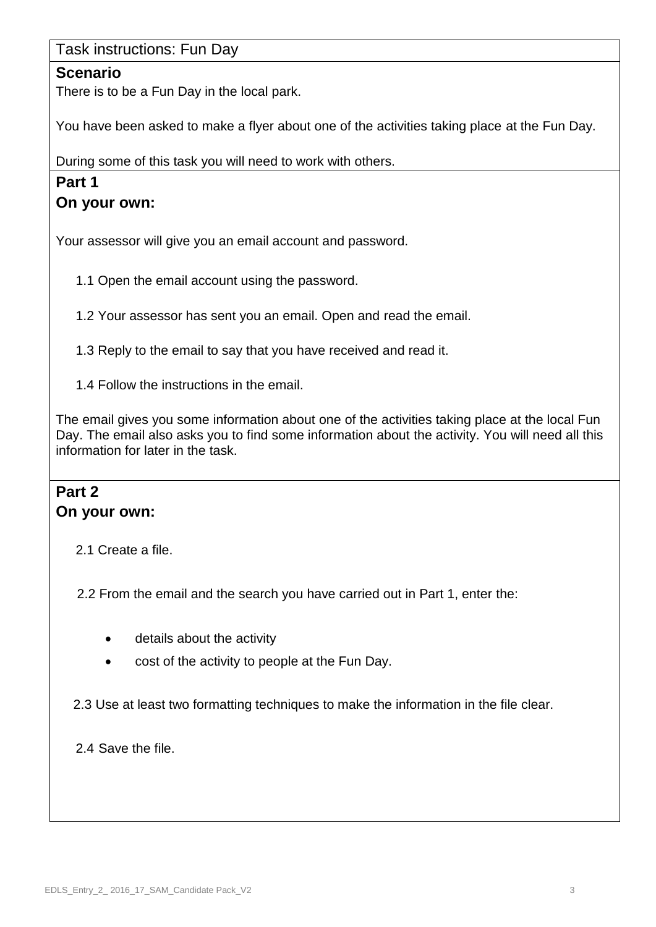#### Task instructions: Fun Day

#### **Scenario**

There is to be a Fun Day in the local park.

You have been asked to make a flyer about one of the activities taking place at the Fun Day.

During some of this task you will need to work with others.

### **Part 1**

#### **On your own:**

Your assessor will give you an email account and password.

1.1 Open the email account using the password.

1.2 Your assessor has sent you an email. Open and read the email.

1.3 Reply to the email to say that you have received and read it.

1.4 Follow the instructions in the email.

The email gives you some information about one of the activities taking place at the local Fun Day. The email also asks you to find some information about the activity. You will need all this information for later in the task.

#### **Part 2 On your own:**

2.1 Create a file.

2.2 From the email and the search you have carried out in Part 1, enter the:

- details about the activity
- cost of the activity to people at the Fun Day.

2.3 Use at least two formatting techniques to make the information in the file clear.

2.4 Save the file.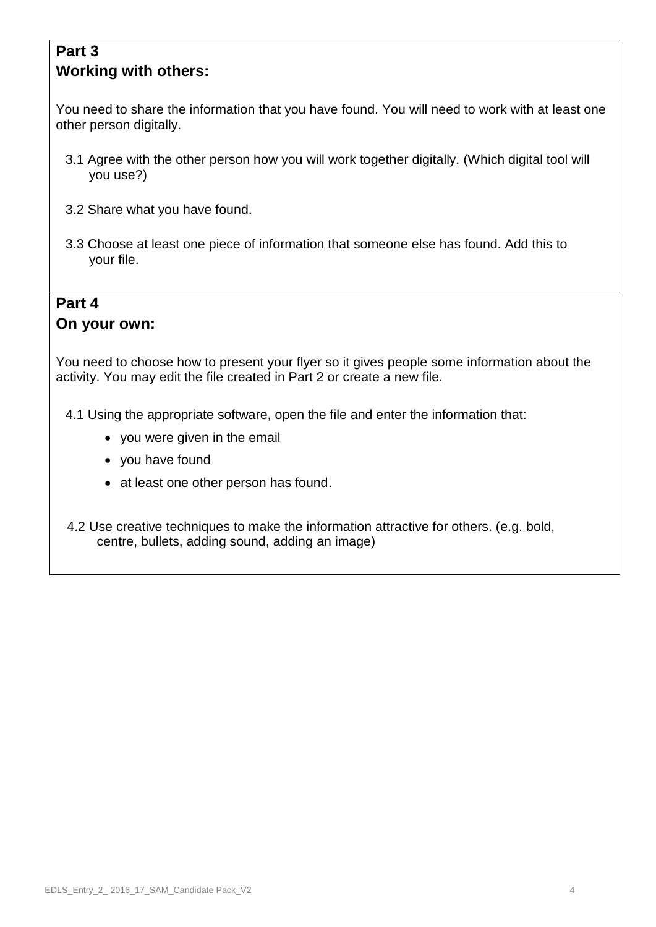# **Part 3 Working with others:**

You need to share the information that you have found. You will need to work with at least one other person digitally.

- 3.1 Agree with the other person how you will work together digitally. (Which digital tool will you use?)
- 3.2 Share what you have found.
- 3.3 Choose at least one piece of information that someone else has found. Add this to your file.

### **Part 4 On your own:**

You need to choose how to present your flyer so it gives people some information about the activity. You may edit the file created in Part 2 or create a new file.

4.1 Using the appropriate software, open the file and enter the information that:

- you were given in the email
- you have found
- at least one other person has found.
- 4.2 Use creative techniques to make the information attractive for others. (e.g. bold, centre, bullets, adding sound, adding an image)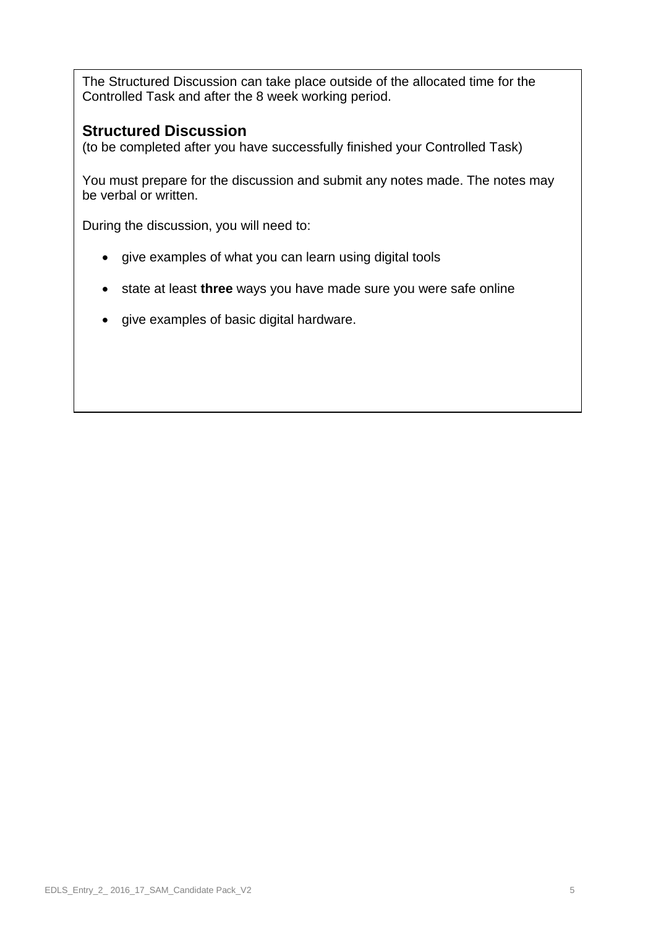The Structured Discussion can take place outside of the allocated time for the Controlled Task and after the 8 week working period.

## **Structured Discussion**

(to be completed after you have successfully finished your Controlled Task)

You must prepare for the discussion and submit any notes made. The notes may be verbal or written.

During the discussion, you will need to:

- give examples of what you can learn using digital tools
- state at least **three** ways you have made sure you were safe online
- give examples of basic digital hardware.